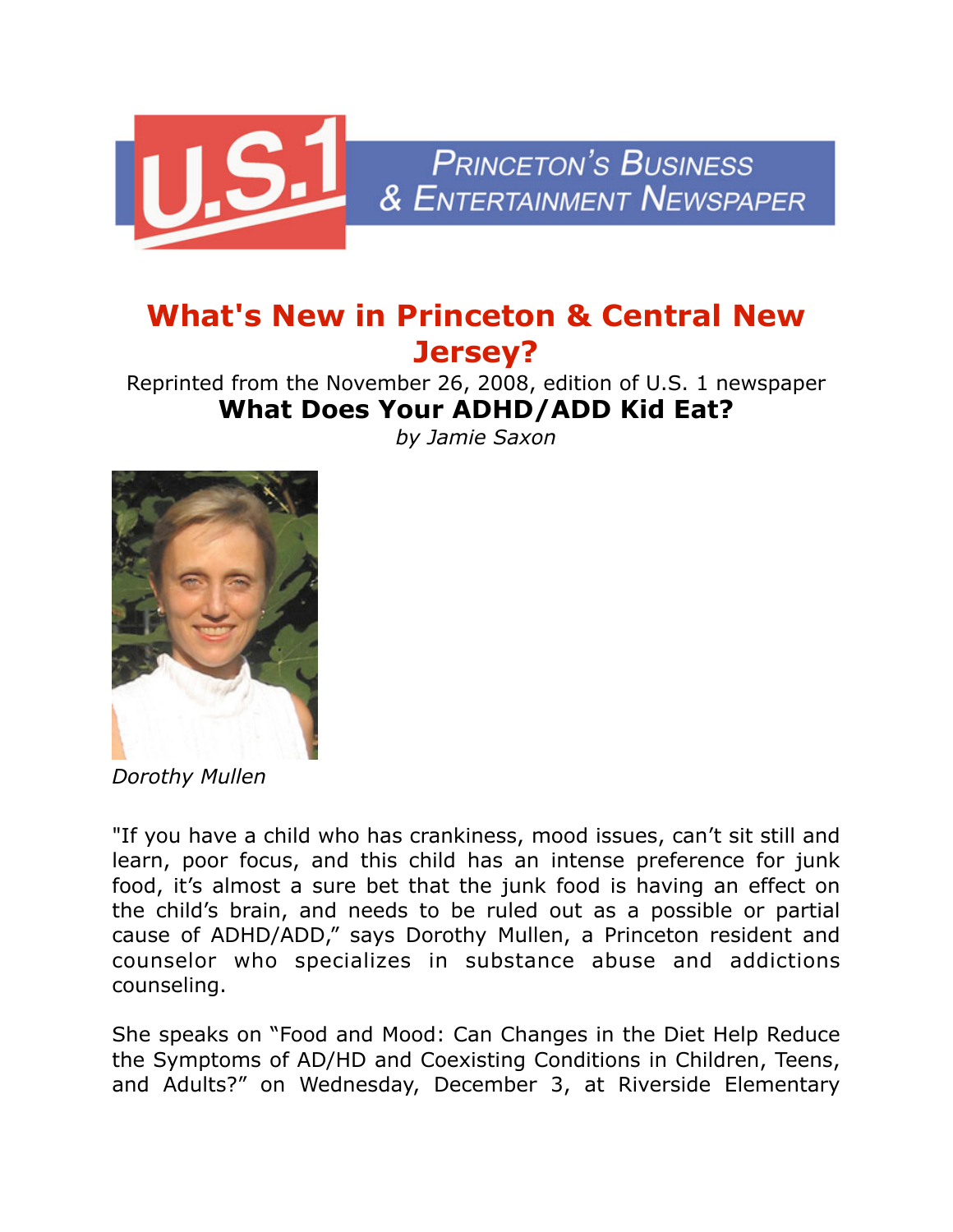

## **What's New in Princeton & Central New Jersey?**

Reprinted from the November 26, 2008, edition of U.S. 1 newspaper **What Does Your ADHD/ADD Kid Eat?**

*by Jamie Saxon*



*Dorothy Mullen*

"If you have a child who has crankiness, mood issues, can't sit still and learn, poor focus, and this child has an intense preference for junk food, it's almost a sure bet that the junk food is having an effect on the child's brain, and needs to be ruled out as a possible or partial cause of ADHD/ADD," says Dorothy Mullen, a Princeton resident and counselor who specializes in substance abuse and addictions counseling.

She speaks on "Food and Mood: Can Changes in the Diet Help Reduce the Symptoms of AD/HD and Coexisting Conditions in Children, Teens, and Adults?" on Wednesday, December 3, at Riverside Elementary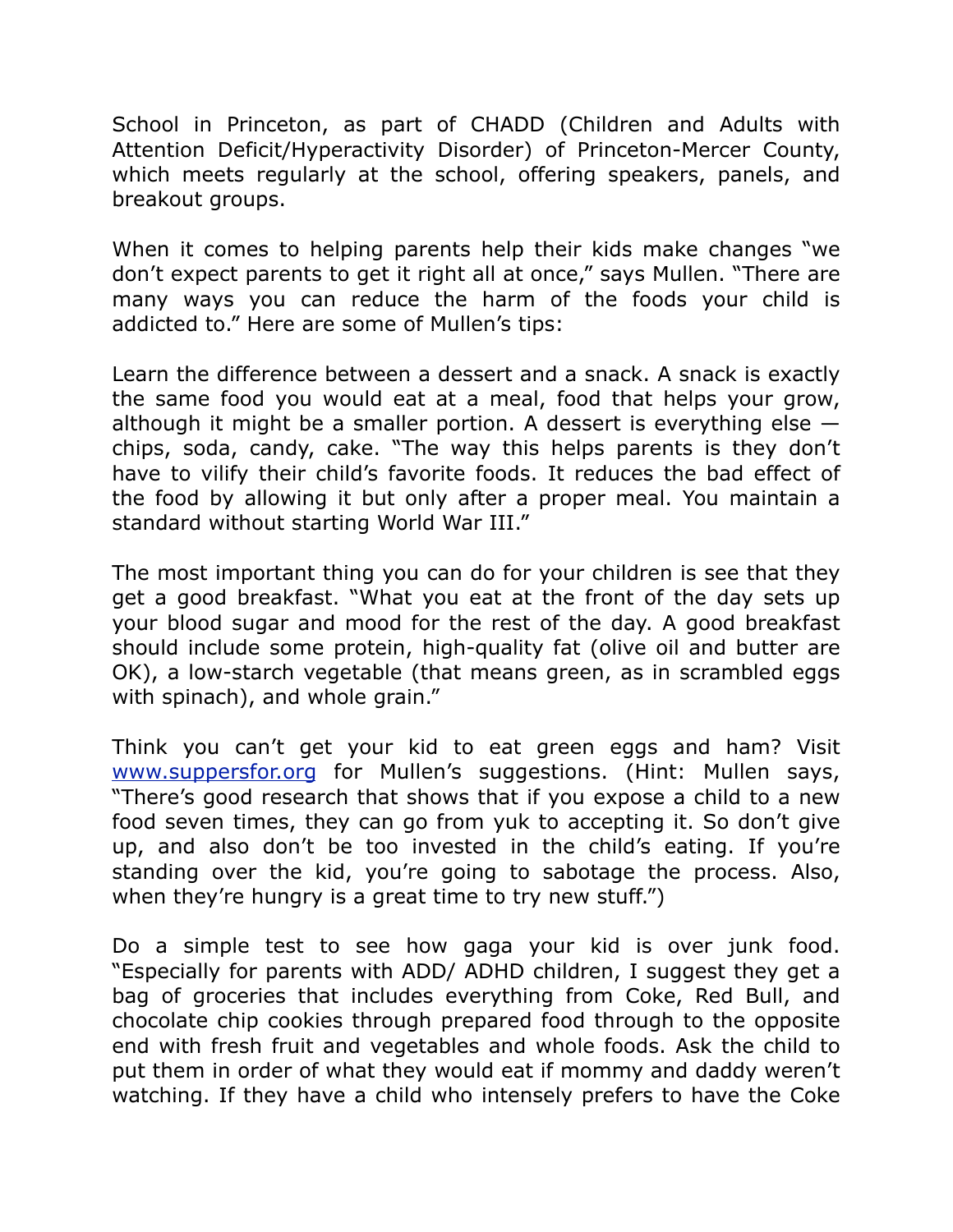School in Princeton, as part of CHADD (Children and Adults with Attention Deficit/Hyperactivity Disorder) of Princeton-Mercer County, which meets regularly at the school, offering speakers, panels, and breakout groups.

When it comes to helping parents help their kids make changes "we don't expect parents to get it right all at once," says Mullen. "There are many ways you can reduce the harm of the foods your child is addicted to." Here are some of Mullen's tips:

Learn the difference between a dessert and a snack. A snack is exactly the same food you would eat at a meal, food that helps your grow, although it might be a smaller portion. A dessert is everything else  $$ chips, soda, candy, cake. "The way this helps parents is they don't have to vilify their child's favorite foods. It reduces the bad effect of the food by allowing it but only after a proper meal. You maintain a standard without starting World War III."

The most important thing you can do for your children is see that they get a good breakfast. "What you eat at the front of the day sets up your blood sugar and mood for the rest of the day. A good breakfast should include some protein, high-quality fat (olive oil and butter are OK), a low-starch vegetable (that means green, as in scrambled eggs with spinach), and whole grain."

Think you can't get your kid to eat green eggs and ham? Visit [www.suppersfor.org](http://www.suppersfor.org/) for Mullen's suggestions. (Hint: Mullen says, "There's good research that shows that if you expose a child to a new food seven times, they can go from yuk to accepting it. So don't give up, and also don't be too invested in the child's eating. If you're standing over the kid, you're going to sabotage the process. Also, when they're hungry is a great time to try new stuff.")

Do a simple test to see how gaga your kid is over junk food. "Especially for parents with ADD/ ADHD children, I suggest they get a bag of groceries that includes everything from Coke, Red Bull, and chocolate chip cookies through prepared food through to the opposite end with fresh fruit and vegetables and whole foods. Ask the child to put them in order of what they would eat if mommy and daddy weren't watching. If they have a child who intensely prefers to have the Coke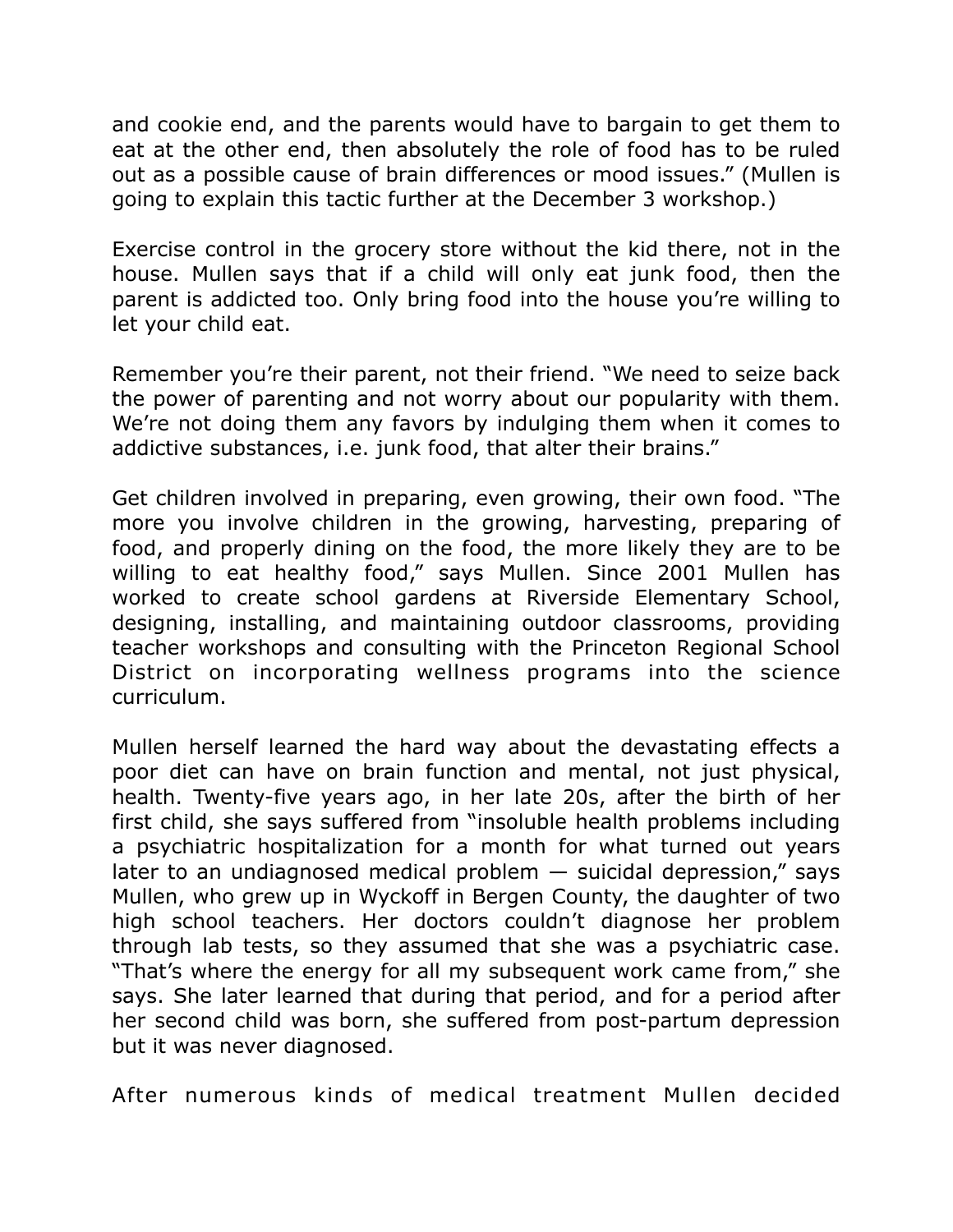and cookie end, and the parents would have to bargain to get them to eat at the other end, then absolutely the role of food has to be ruled out as a possible cause of brain differences or mood issues." (Mullen is going to explain this tactic further at the December 3 workshop.)

Exercise control in the grocery store without the kid there, not in the house. Mullen says that if a child will only eat junk food, then the parent is addicted too. Only bring food into the house you're willing to let your child eat.

Remember you're their parent, not their friend. "We need to seize back the power of parenting and not worry about our popularity with them. We're not doing them any favors by indulging them when it comes to addictive substances, i.e. junk food, that alter their brains."

Get children involved in preparing, even growing, their own food. "The more you involve children in the growing, harvesting, preparing of food, and properly dining on the food, the more likely they are to be willing to eat healthy food," says Mullen. Since 2001 Mullen has worked to create school gardens at Riverside Elementary School, designing, installing, and maintaining outdoor classrooms, providing teacher workshops and consulting with the Princeton Regional School District on incorporating wellness programs into the science curriculum.

Mullen herself learned the hard way about the devastating effects a poor diet can have on brain function and mental, not just physical, health. Twenty-five years ago, in her late 20s, after the birth of her first child, she says suffered from "insoluble health problems including a psychiatric hospitalization for a month for what turned out years later to an undiagnosed medical problem  $-$  suicidal depression," says Mullen, who grew up in Wyckoff in Bergen County, the daughter of two high school teachers. Her doctors couldn't diagnose her problem through lab tests, so they assumed that she was a psychiatric case. "That's where the energy for all my subsequent work came from," she says. She later learned that during that period, and for a period after her second child was born, she suffered from post-partum depression but it was never diagnosed.

After numerous kinds of medical treatment Mullen decided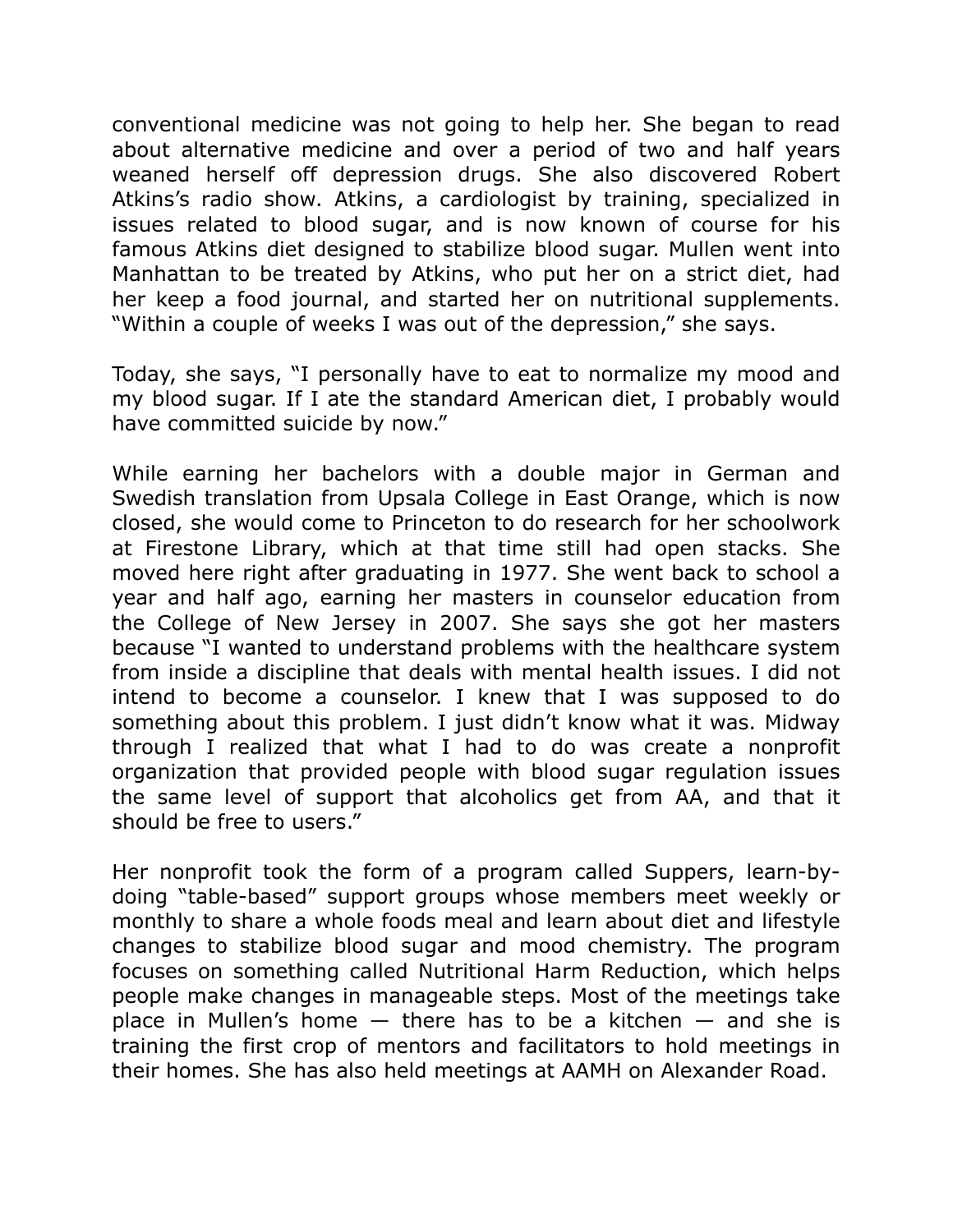conventional medicine was not going to help her. She began to read about alternative medicine and over a period of two and half years weaned herself off depression drugs. She also discovered Robert Atkins's radio show. Atkins, a cardiologist by training, specialized in issues related to blood sugar, and is now known of course for his famous Atkins diet designed to stabilize blood sugar. Mullen went into Manhattan to be treated by Atkins, who put her on a strict diet, had her keep a food journal, and started her on nutritional supplements. "Within a couple of weeks I was out of the depression," she says.

Today, she says, "I personally have to eat to normalize my mood and my blood sugar. If I ate the standard American diet, I probably would have committed suicide by now."

While earning her bachelors with a double major in German and Swedish translation from Upsala College in East Orange, which is now closed, she would come to Princeton to do research for her schoolwork at Firestone Library, which at that time still had open stacks. She moved here right after graduating in 1977. She went back to school a year and half ago, earning her masters in counselor education from the College of New Jersey in 2007. She says she got her masters because "I wanted to understand problems with the healthcare system from inside a discipline that deals with mental health issues. I did not intend to become a counselor. I knew that I was supposed to do something about this problem. I just didn't know what it was. Midway through I realized that what I had to do was create a nonprofit organization that provided people with blood sugar regulation issues the same level of support that alcoholics get from AA, and that it should be free to users."

Her nonprofit took the form of a program called Suppers, learn-bydoing "table-based" support groups whose members meet weekly or monthly to share a whole foods meal and learn about diet and lifestyle changes to stabilize blood sugar and mood chemistry. The program focuses on something called Nutritional Harm Reduction, which helps people make changes in manageable steps. Most of the meetings take place in Mullen's home  $-$  there has to be a kitchen  $-$  and she is training the first crop of mentors and facilitators to hold meetings in their homes. She has also held meetings at AAMH on Alexander Road.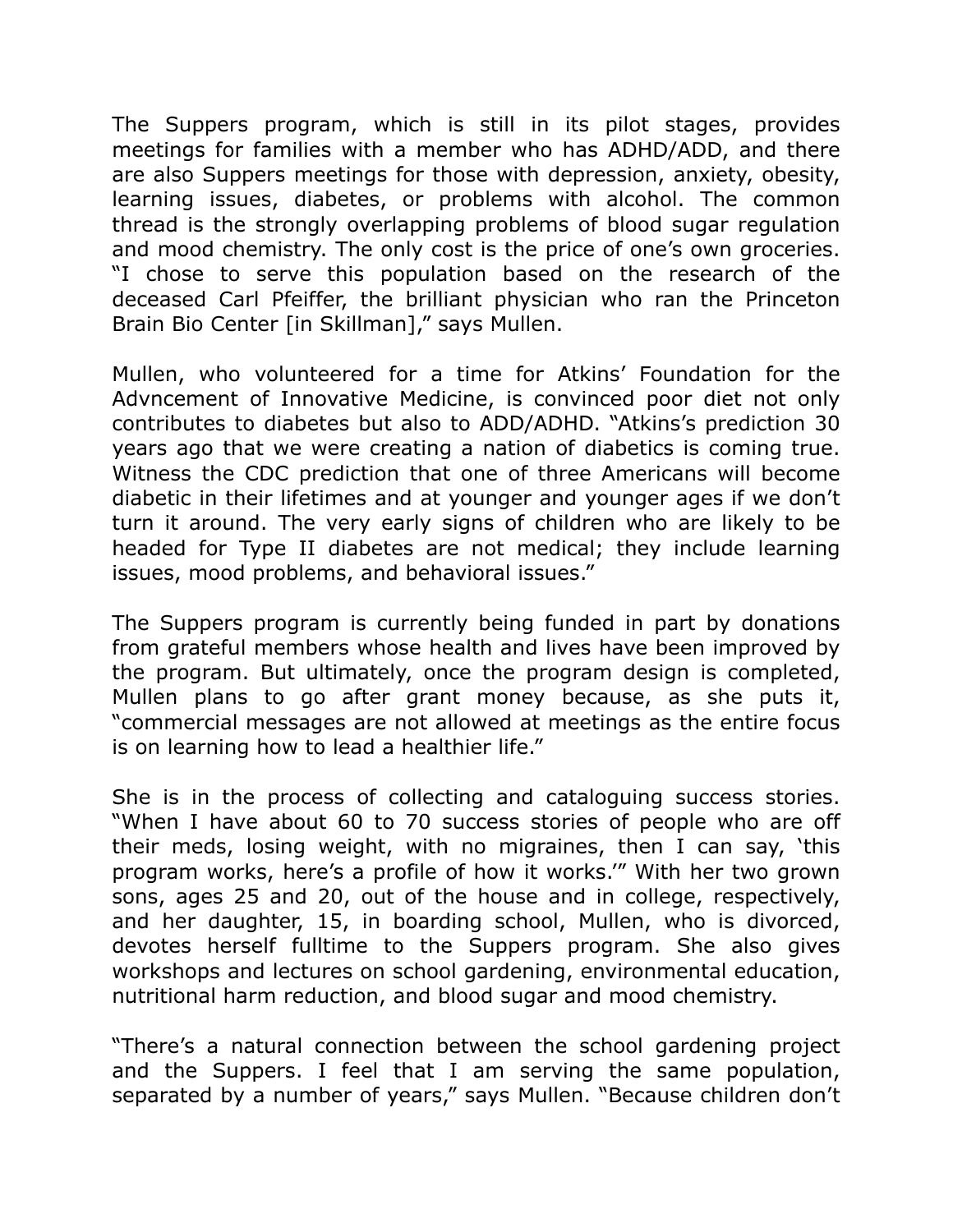The Suppers program, which is still in its pilot stages, provides meetings for families with a member who has ADHD/ADD, and there are also Suppers meetings for those with depression, anxiety, obesity, learning issues, diabetes, or problems with alcohol. The common thread is the strongly overlapping problems of blood sugar regulation and mood chemistry. The only cost is the price of one's own groceries. "I chose to serve this population based on the research of the deceased Carl Pfeiffer, the brilliant physician who ran the Princeton Brain Bio Center [in Skillman]," says Mullen.

Mullen, who volunteered for a time for Atkins' Foundation for the Advncement of Innovative Medicine, is convinced poor diet not only contributes to diabetes but also to ADD/ADHD. "Atkins's prediction 30 years ago that we were creating a nation of diabetics is coming true. Witness the CDC prediction that one of three Americans will become diabetic in their lifetimes and at younger and younger ages if we don't turn it around. The very early signs of children who are likely to be headed for Type II diabetes are not medical; they include learning issues, mood problems, and behavioral issues."

The Suppers program is currently being funded in part by donations from grateful members whose health and lives have been improved by the program. But ultimately, once the program design is completed, Mullen plans to go after grant money because, as she puts it, "commercial messages are not allowed at meetings as the entire focus is on learning how to lead a healthier life."

She is in the process of collecting and cataloguing success stories. "When I have about 60 to 70 success stories of people who are off their meds, losing weight, with no migraines, then I can say, 'this program works, here's a profile of how it works.'" With her two grown sons, ages 25 and 20, out of the house and in college, respectively, and her daughter, 15, in boarding school, Mullen, who is divorced, devotes herself fulltime to the Suppers program. She also gives workshops and lectures on school gardening, environmental education, nutritional harm reduction, and blood sugar and mood chemistry.

"There's a natural connection between the school gardening project and the Suppers. I feel that I am serving the same population, separated by a number of years," says Mullen. "Because children don't